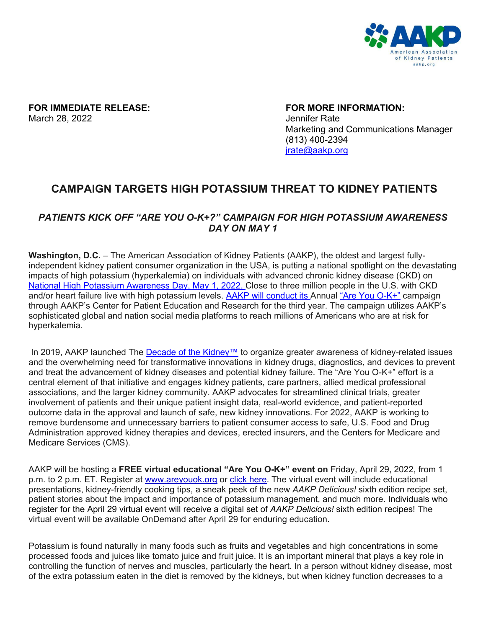

**FOR IMMEDIATE RELEASE: FOR MORE INFORMATION:** March 28, 2022 **Jennifer Rate** 

Marketing and Communications Manager (813) 400-2394 [jrate@aakp.org](mailto:jrate@aakp.org)

## **CAMPAIGN TARGETS HIGH POTASSIUM THREAT TO KIDNEY PATIENTS**

## *PATIENTS KICK OFF "ARE YOU O-K+?" CAMPAIGN FOR HIGH POTASSIUM AWARENESS DAY ON MAY 1*

**Washington, D.C.** – The American Association of Kidney Patients (AAKP), the oldest and largest fullyindependent kidney patient consumer organization in the USA, is putting a national spotlight on the devastating impacts of high potassium (hyperkalemia) on individuals with advanced chronic kidney disease (CKD) on [National High Potassium Awareness Day,](https://aakp.org/programs-and-events/national-high-potassium-awareness-day-2022-may/) May 1, 2022. Close to three million people in the U.S. with CKD and/or heart failure live with high potassium levels. AAKP will conduct its Annual ["Are You O-K+"](https://aakp.org/programs-and-events/national-high-potassium-awareness-day-2022-may/) campaign through AAKP's Center for Patient Education and Research for the third year. The campaign utilizes AAKP's sophisticated global and nation social media platforms to reach millions of Americans who are at risk for hyperkalemia.

In 2019, AAKP launched The [Decade of the Kidney™](https://aakp.org/center-for-patient-engagement-and-advocacy/decade-of-the-kidney/) to organize greater awareness of kidney-related issues and the overwhelming need for transformative innovations in kidney drugs, diagnostics, and devices to prevent and treat the advancement of kidney diseases and potential kidney failure. The "Are You O-K+" effort is a central element of that initiative and engages kidney patients, care partners, allied medical professional associations, and the larger kidney community. AAKP advocates for streamlined clinical trials, greater involvement of patients and their unique patient insight data, real-world evidence, and patient-reported outcome data in the approval and launch of safe, new kidney innovations. For 2022, AAKP is working to remove burdensome and unnecessary barriers to patient consumer access to safe, U.S. Food and Drug Administration approved kidney therapies and devices, erected insurers, and the Centers for Medicare and Medicare Services (CMS).

AAKP will be hosting a **FREE virtual educational "Are You O-K+" event on** Friday, April 29, 2022, from 1 p.m. to 2 p.m. ET. Register at [www.areyouok.org](http://www.areyouok.org/) or [click here.](https://www.surveymonkey.com/r/AAKPAreYouOK) The virtual event will include educational presentations, kidney-friendly cooking tips, a sneak peek of the new *AAKP Delicious!* sixth edition recipe set, patient stories about the impact and importance of potassium management, and much more. Individuals who register for the April 29 virtual event will receive a digital set of *AAKP Delicious!* sixth edition recipes! The virtual event will be available OnDemand after April 29 for enduring education.

Potassium is found naturally in many foods such as fruits and vegetables and high concentrations in some processed foods and juices like tomato juice and fruit juice. It is an important mineral that plays a key role in controlling the function of nerves and muscles, particularly the heart. In a person without kidney disease, most of the extra potassium eaten in the diet is removed by the kidneys, but when kidney function decreases to a